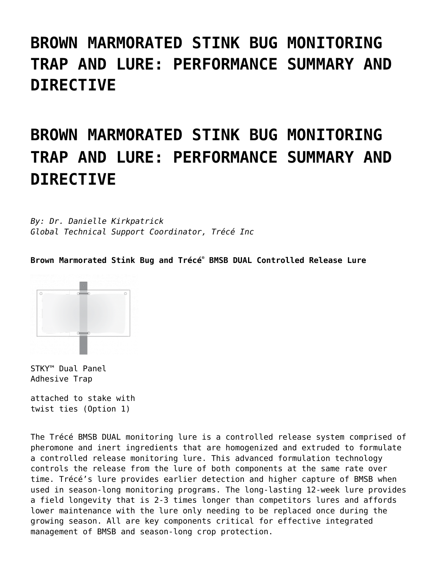## **[BROWN MARMORATED STINK BUG MONITORING](https://www.trece.com/scientific-reviews/brown-marmorated-stink-bug-monitoring-trap-and-lure-performance-summary-and-directive/) [TRAP AND LURE: PERFORMANCE SUMMARY AND](https://www.trece.com/scientific-reviews/brown-marmorated-stink-bug-monitoring-trap-and-lure-performance-summary-and-directive/) [DIRECTIVE](https://www.trece.com/scientific-reviews/brown-marmorated-stink-bug-monitoring-trap-and-lure-performance-summary-and-directive/)**

# **BROWN MARMORATED STINK BUG MONITORING TRAP AND LURE: PERFORMANCE SUMMARY AND DIRECTIVE**

*By: Dr. Danielle Kirkpatrick Global Technical Support Coordinator, Trécé Inc*

**Brown Marmorated Stink Bug and Trécé® BMSB DUAL Controlled Release Lure**



STKY™ Dual Panel Adhesive Trap

attached to stake with twist ties (Option 1)

The Trécé BMSB DUAL monitoring lure is a controlled release system comprised of pheromone and inert ingredients that are homogenized and extruded to formulate a controlled release monitoring lure. This advanced formulation technology controls the release from the lure of both components at the same rate over time. Trécé's lure provides earlier detection and higher capture of BMSB when used in season-long monitoring programs. The long-lasting 12-week lure provides a field longevity that is 2-3 times longer than competitors lures and affords lower maintenance with the lure only needing to be replaced once during the growing season. All are key components critical for effective integrated management of BMSB and season-long crop protection.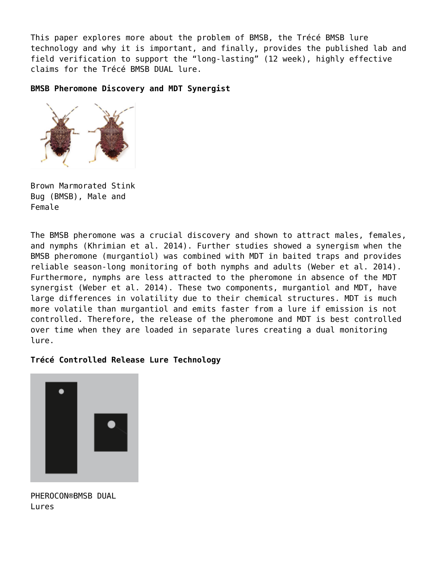This paper explores more about the problem of BMSB, the Trécé BMSB lure technology and why it is important, and finally, provides the published lab and field verification to support the "long-lasting" (12 week), highly effective claims for the Trécé BMSB DUAL lure.

#### **BMSB Pheromone Discovery and MDT Synergist**



Brown Marmorated Stink Bug (BMSB), Male and Female

The BMSB pheromone was a crucial discovery and shown to attract males, females, and nymphs (Khrimian et al. 2014). Further studies showed a synergism when the BMSB pheromone (murgantiol) was combined with MDT in baited traps and provides reliable season-long monitoring of both nymphs and adults (Weber et al. 2014). Furthermore, nymphs are less attracted to the pheromone in absence of the MDT synergist (Weber et al. 2014). These two components, murgantiol and MDT, have large differences in volatility due to their chemical structures. MDT is much more volatile than murgantiol and emits faster from a lure if emission is not controlled. Therefore, the release of the pheromone and MDT is best controlled over time when they are loaded in separate lures creating a dual monitoring lure.

#### **Trécé Controlled Release Lure Technology**



PHEROCON®BMSB DUAL Lures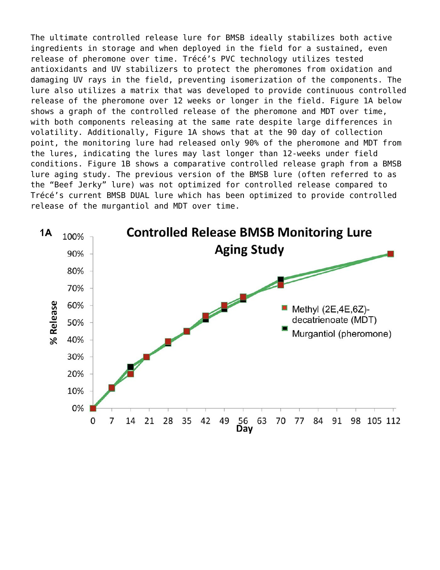The ultimate controlled release lure for BMSB ideally stabilizes both active ingredients in storage and when deployed in the field for a sustained, even release of pheromone over time. Trécé's PVC technology utilizes tested antioxidants and UV stabilizers to protect the pheromones from oxidation and damaging UV rays in the field, preventing isomerization of the components. The lure also utilizes a matrix that was developed to provide continuous controlled release of the pheromone over 12 weeks or longer in the field. Figure 1A below shows a graph of the controlled release of the pheromone and MDT over time, with both components releasing at the same rate despite large differences in volatility. Additionally, Figure 1A shows that at the 90 day of collection point, the monitoring lure had released only 90% of the pheromone and MDT from the lures, indicating the lures may last longer than 12-weeks under field conditions. Figure 1B shows a comparative controlled release graph from a BMSB lure aging study. The previous version of the BMSB lure (often referred to as the "Beef Jerky" lure) was not optimized for controlled release compared to Trécé's current BMSB DUAL lure which has been optimized to provide controlled release of the murgantiol and MDT over time.

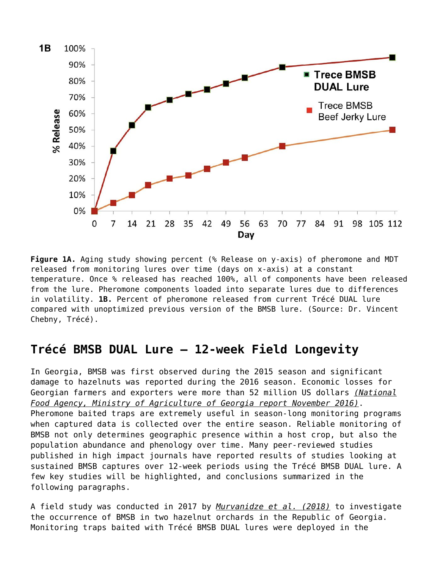

**Figure 1A.** Aging study showing percent (% Release on y-axis) of pheromone and MDT released from monitoring lures over time (days on x-axis) at a constant temperature. Once % released has reached 100%, all of components have been released from the lure. Pheromone components loaded into separate lures due to differences in volatility. **1B.** Percent of pheromone released from current Trécé DUAL lure compared with unoptimized previous version of the BMSB lure. (Source: Dr. Vincent Chebny, Trécé).

#### **Trécé BMSB DUAL Lure – 12-week Field Longevity**

In Georgia, BMSB was first observed during the 2015 season and significant damage to hazelnuts was reported during the 2016 season. Economic losses for Georgian farmers and exporters were more than 52 million US dollars *(National Food Agency, Ministry of Agriculture of Georgia report November 2016)*. Pheromone baited traps are extremely useful in season-long monitoring programs when captured data is collected over the entire season. Reliable monitoring of BMSB not only determines geographic presence within a host crop, but also the population abundance and phenology over time. Many peer-reviewed studies published in high impact journals have reported results of studies looking at sustained BMSB captures over 12-week periods using the Trécé BMSB DUAL lure. A few key studies will be highlighted, and conclusions summarized in the following paragraphs.

A field study was conducted in 2017 by *Murvanidze et al. (2018)* to investigate the occurrence of BMSB in two hazelnut orchards in the Republic of Georgia. Monitoring traps baited with Trécé BMSB DUAL lures were deployed in the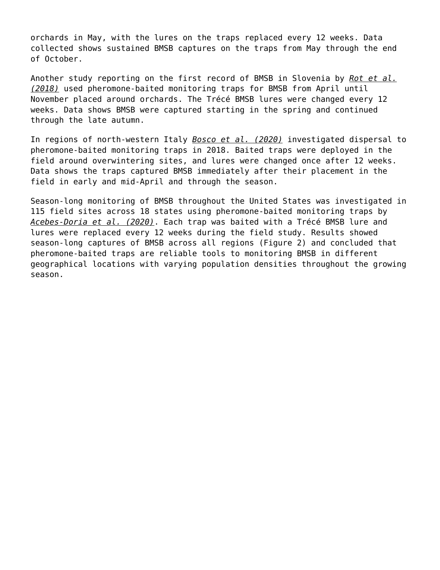orchards in May, with the lures on the traps replaced every 12 weeks. Data collected shows sustained BMSB captures on the traps from May through the end of October.

Another study reporting on the first record of BMSB in Slovenia by *Rot et al. (2018)* used pheromone-baited monitoring traps for BMSB from April until November placed around orchards. The Trécé BMSB lures were changed every 12 weeks. Data shows BMSB were captured starting in the spring and continued through the late autumn.

In regions of north-western Italy *Bosco et al. (2020)* investigated dispersal to pheromone-baited monitoring traps in 2018. Baited traps were deployed in the field around overwintering sites, and lures were changed once after 12 weeks. Data shows the traps captured BMSB immediately after their placement in the field in early and mid-April and through the season.

Season-long monitoring of BMSB throughout the United States was investigated in 115 field sites across 18 states using pheromone-baited monitoring traps by *Acebes-Doria et al. (2020)*. Each trap was baited with a Trécé BMSB lure and lures were replaced every 12 weeks during the field study. Results showed season-long captures of BMSB across all regions (Figure 2) and concluded that pheromone-baited traps are reliable tools to monitoring BMSB in different geographical locations with varying population densities throughout the growing season.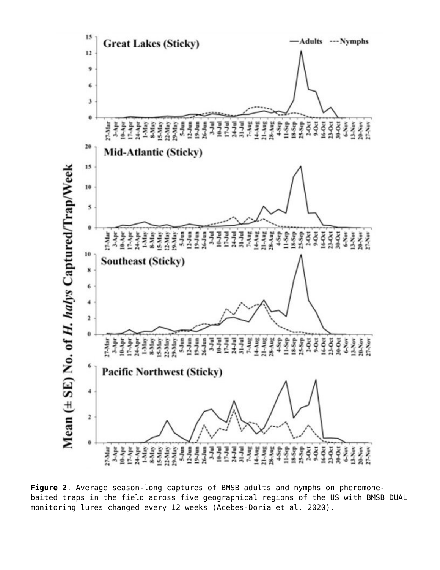

**Figure 2**. Average season-long captures of BMSB adults and nymphs on pheromonebaited traps in the field across five geographical regions of the US with BMSB DUAL monitoring lures changed every 12 weeks (Acebes-Doria et al. 2020).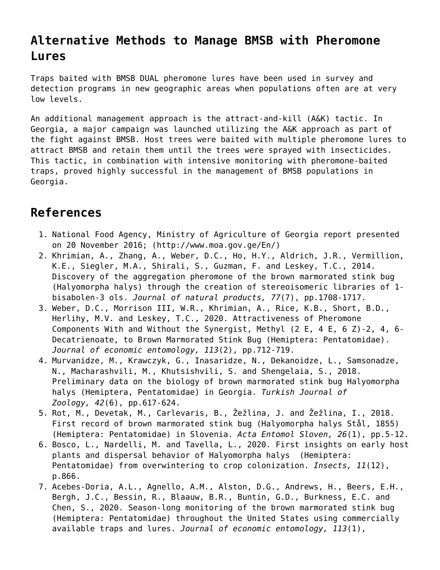### **Alternative Methods to Manage BMSB with Pheromone Lures**

Traps baited with BMSB DUAL pheromone lures have been used in survey and detection programs in new geographic areas when populations often are at very low levels.

An additional management approach is the attract-and-kill (A&K) tactic. In Georgia, a major campaign was launched utilizing the A&K approach as part of the fight against BMSB. Host trees were baited with multiple pheromone lures to attract BMSB and retain them until the trees were sprayed with insecticides. This tactic, in combination with intensive monitoring with pheromone-baited traps, proved highly successful in the management of BMSB populations in Georgia.

### **References**

- 1. National Food Agency, Ministry of Agriculture of Georgia report presented on 20 November 2016; [\(http://www.moa.gov.ge/En/\)](http://www.moa.gov.ge/En/)
- 2. Khrimian, A., Zhang, A., Weber, D.C., Ho, H.Y., Aldrich, J.R., Vermillion, K.E., Siegler, M.A., Shirali, S., Guzman, F. and Leskey, T.C., 2014. Discovery of the aggregation pheromone of the brown marmorated stink bug (Halyomorpha halys) through the creation of stereoisomeric libraries of 1 bisabolen-3 ols. *Journal of natural products, 77*(7), pp.1708-1717.
- 3. Weber, D.C., Morrison III, W.R., Khrimian, A., Rice, K.B., Short, B.D., Herlihy, M.V. and Leskey, T.C., 2020. Attractiveness of Pheromone Components With and Without the Synergist, Methyl (2 E, 4 E, 6 Z)-2, 4, 6- Decatrienoate, to Brown Marmorated Stink Bug (Hemiptera: Pentatomidae). *Journal of economic entomology, 113*(2), pp.712-719.
- 4. Murvanidze, M., Krawczyk, G., Inasaridze, N., Dekanoidze, L., Samsonadze, N., Macharashvili, M., Khutsishvili, S. and Shengelaia, S., 2018. Preliminary data on the biology of brown marmorated stink bug Halyomorpha halys (Hemiptera, Pentatomidae) in Georgia. *Turkish Journal of Zoology, 42*(6), pp.617-624.
- 5. Rot, M., Devetak, M., Carlevaris, B., Žežlina, J. and Žežlina, I., 2018. First record of brown marmorated stink bug (Halyomorpha halys Stål, 1855) (Hemiptera: Pentatomidae) in Slovenia. *Acta Entomol Sloven, 26*(1), pp.5-12.
- 6. Bosco, L., Nardelli, M. and Tavella, L., 2020. First insights on early host plants and dispersal behavior of Halyomorpha halys (Hemiptera: Pentatomidae) from overwintering to crop colonization. *Insects, 11*(12), p.866.
- 7. Acebes-Doria, A.L., Agnello, A.M., Alston, D.G., Andrews, H., Beers, E.H., Bergh, J.C., Bessin, R., Blaauw, B.R., Buntin, G.D., Burkness, E.C. and Chen, S., 2020. Season-long monitoring of the brown marmorated stink bug (Hemiptera: Pentatomidae) throughout the United States using commercially available traps and lures. *Journal of economic entomology, 113*(1),